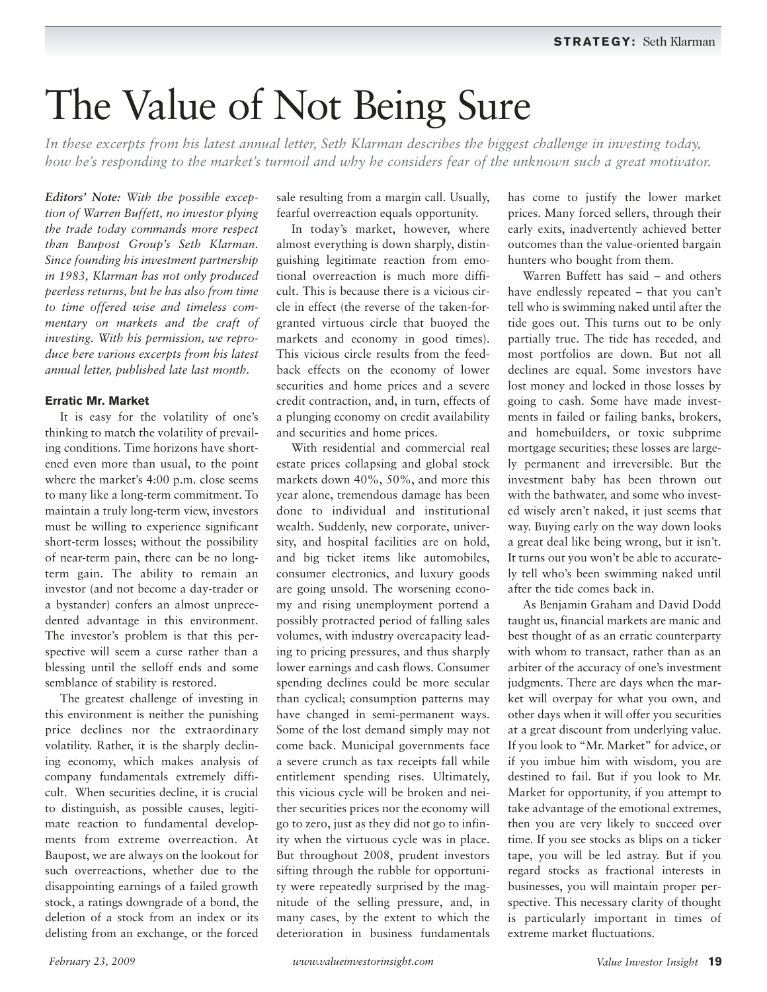# The Value of Not Being Sure

*In these excerpts from his latest annual letter, Seth Klarman describes the biggest challenge in investing today, how he's responding to the market's turmoil and why he considers fear of the unknown such a great motivator.*

*Editors' Note: With the possible exception of Warren Buffett, no investor plying the trade today commands more respect than Baupost Group's Seth Klarman. Since founding his investment partnership in 1983, Klarman has not only produced peerless returns, but he has also from time to time offered wise and timeless commentary on markets and the craft of investing. With his permission, we reproduce here various excerpts from his latest annual letter, published late last month.*

## **Erratic Mr. Market**

It is easy for the volatility of one's thinking to match the volatility of prevailing conditions. Time horizons have shortened even more than usual, to the point where the market's 4:00 p.m. close seems to many like a long-term commitment. To maintain a truly long-term view, investors must be willing to experience significant short-term losses; without the possibility of near-term pain, there can be no longterm gain. The ability to remain an investor (and not become a day-trader or a bystander) confers an almost unprecedented advantage in this environment. The investor's problem is that this perspective will seem a curse rather than a blessing until the selloff ends and some semblance of stability is restored.

The greatest challenge of investing in this environment is neither the punishing price declines nor the extraordinary volatility. Rather, it is the sharply declining economy, which makes analysis of company fundamentals extremely difficult. When securities decline, it is crucial to distinguish, as possible causes, legitimate reaction to fundamental developments from extreme overreaction. At Baupost, we are always on the lookout for such overreactions, whether due to the disappointing earnings of a failed growth stock, a ratings downgrade of a bond, the deletion of a stock from an index or its delisting from an exchange, or the forced

sale resulting from a margin call. Usually, fearful overreaction equals opportunity.

In today's market, however, where almost everything is down sharply, distinguishing legitimate reaction from emotional overreaction is much more difficult. This is because there is a vicious circle in effect (the reverse of the taken-forgranted virtuous circle that buoyed the markets and economy in good times). This vicious circle results from the feedback effects on the economy of lower securities and home prices and a severe credit contraction, and, in turn, effects of a plunging economy on credit availability and securities and home prices.

With residential and commercial real estate prices collapsing and global stock markets down 40%, 50%, and more this year alone, tremendous damage has been done to individual and institutional wealth. Suddenly, new corporate, university, and hospital facilities are on hold, and big ticket items like automobiles, consumer electronics, and luxury goods are going unsold. The worsening economy and rising unemployment portend a possibly protracted period of falling sales volumes, with industry overcapacity leading to pricing pressures, and thus sharply lower earnings and cash flows. Consumer spending declines could be more secular than cyclical; consumption patterns may have changed in semi-permanent ways. Some of the lost demand simply may not come back. Municipal governments face a severe crunch as tax receipts fall while entitlement spending rises. Ultimately, this vicious cycle will be broken and neither securities prices nor the economy will go to zero, just as they did not go to infinity when the virtuous cycle was in place. But throughout 2008, prudent investors sifting through the rubble for opportunity were repeatedly surprised by the magnitude of the selling pressure, and, in many cases, by the extent to which the deterioration in business fundamentals

has come to justify the lower market prices. Many forced sellers, through their early exits, inadvertently achieved better outcomes than the value-oriented bargain hunters who bought from them.

Warren Buffett has said – and others have endlessly repeated – that you can't tell who is swimming naked until after the tide goes out. This turns out to be only partially true. The tide has receded, and most portfolios are down. But not all declines are equal. Some investors have lost money and locked in those losses by going to cash. Some have made investments in failed or failing banks, brokers, and homebuilders, or toxic subprime mortgage securities; these losses are largely permanent and irreversible. But the investment baby has been thrown out with the bathwater, and some who invested wisely aren't naked, it just seems that way. Buying early on the way down looks a great deal like being wrong, but it isn't. It turns out you won't be able to accurately tell who's been swimming naked until after the tide comes back in.

As Benjamin Graham and David Dodd taught us, financial markets are manic and best thought of as an erratic counterparty with whom to transact, rather than as an arbiter of the accuracy of one's investment judgments. There are days when the market will overpay for what you own, and other days when it will offer you securities at a great discount from underlying value. If you look to "Mr. Market" for advice, or if you imbue him with wisdom, you are destined to fail. But if you look to Mr. Market for opportunity, if you attempt to take advantage of the emotional extremes, then you are very likely to succeed over time. If you see stocks as blips on a ticker tape, you will be led astray. But if you regard stocks as fractional interests in businesses, you will maintain proper perspective. This necessary clarity of thought is particularly important in times of extreme market fluctuations.